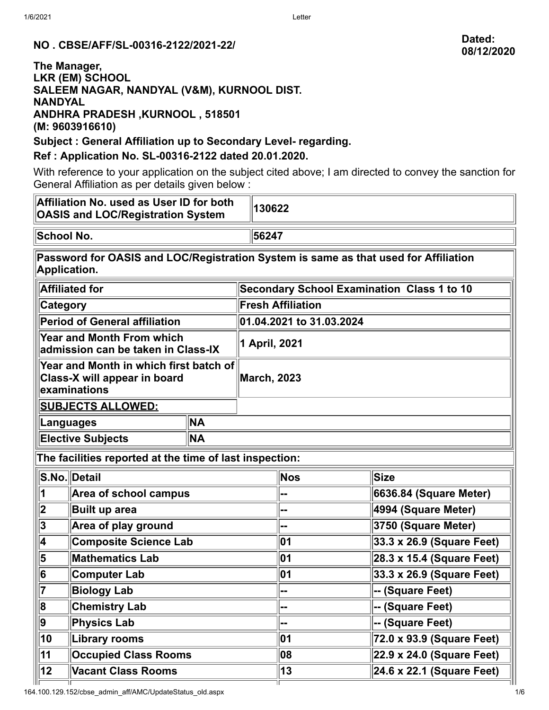# **NO . CBSE/AFF/SL-00316-2122/2021-22/ Dated:**

#### **The Manager, LKR (EM) SCHOOL SALEEM NAGAR, NANDYAL (V&M), KURNOOL DIST. NANDYAL ANDHRA PRADESH ,KURNOOL , 518501 (M: 9603916610)**

**Subject : General Affiliation up to Secondary Level- regarding.**

### **Ref : Application No. SL-00316-2122 dated 20.01.2020.**

With reference to your application on the subject cited above; I am directed to convey the sanction for General Affiliation as per details given below :

| Affiliation No. used as User ID for both<br><b>OASIS and LOC/Registration System</b>                |                        |           |                                                   | 130622     |                           |  |  |  |
|-----------------------------------------------------------------------------------------------------|------------------------|-----------|---------------------------------------------------|------------|---------------------------|--|--|--|
| School No.                                                                                          |                        |           |                                                   | 56247      |                           |  |  |  |
| Password for OASIS and LOC/Registration System is same as that used for Affiliation<br>Application. |                        |           |                                                   |            |                           |  |  |  |
| <b>Affiliated for</b>                                                                               |                        |           | <b>Secondary School Examination Class 1 to 10</b> |            |                           |  |  |  |
| Category                                                                                            |                        |           | <b>Fresh Affiliation</b>                          |            |                           |  |  |  |
| Period of General affiliation                                                                       |                        |           | 01.04.2021 to 31.03.2024                          |            |                           |  |  |  |
| <b>Year and Month From which</b><br>admission can be taken in Class-IX                              |                        |           | 1 April, 2021                                     |            |                           |  |  |  |
| Year and Month in which first batch of<br>Class-X will appear in board<br>examinations              |                        |           | <b>March, 2023</b>                                |            |                           |  |  |  |
| <b>SUBJECTS ALLOWED:</b>                                                                            |                        |           |                                                   |            |                           |  |  |  |
| Languages                                                                                           |                        | <b>NA</b> |                                                   |            |                           |  |  |  |
| <b>Elective Subjects</b><br><b>NA</b>                                                               |                        |           |                                                   |            |                           |  |  |  |
| The facilities reported at the time of last inspection:                                             |                        |           |                                                   |            |                           |  |  |  |
| <b>S.No.</b> Detail                                                                                 |                        |           |                                                   | <b>Nos</b> | <b>Size</b>               |  |  |  |
| 1                                                                                                   | Area of school campus  |           |                                                   |            | 6636.84 (Square Meter)    |  |  |  |
| $\overline{\mathbf{2}}$<br><b>Built up area</b>                                                     |                        |           |                                                   | --         | 4994 (Square Meter)       |  |  |  |
| $\overline{3}$<br>Area of play ground                                                               |                        |           |                                                   | --         | 3750 (Square Meter)       |  |  |  |
| $\overline{\mathbf{4}}$<br><b>Composite Science Lab</b>                                             |                        |           |                                                   | 01         | 33.3 x 26.9 (Square Feet) |  |  |  |
| $ \overline{\bf{5}} $                                                                               | <b>Mathematics Lab</b> |           |                                                   | 01         | 28.3 x 15.4 (Square Feet) |  |  |  |
| $ \overline{6} $<br><b>Computer Lab</b>                                                             |                        |           |                                                   | 01         | 33.3 x 26.9 (Square Feet) |  |  |  |
| $\overline{7}$<br><b>Biology Lab</b>                                                                |                        |           |                                                   | --         | -- (Square Feet)          |  |  |  |
| $\boxed{8}$<br><b>Chemistry Lab</b>                                                                 |                        |           |                                                   | --         | -- (Square Feet)          |  |  |  |
| $\overline{9}$<br><b>Physics Lab</b>                                                                |                        |           |                                                   | --         | -- (Square Feet)          |  |  |  |
| $\overline{10}$<br><b>Library rooms</b>                                                             |                        |           |                                                   | 01         | 72.0 x 93.9 (Square Feet) |  |  |  |
| $\overline{11}$<br><b>Occupied Class Rooms</b>                                                      |                        |           |                                                   | 80         | 22.9 x 24.0 (Square Feet) |  |  |  |
| $\overline{12}$<br><b>Vacant Class Rooms</b>                                                        |                        |           |                                                   | 13         | 24.6 x 22.1 (Square Feet) |  |  |  |
|                                                                                                     |                        |           |                                                   |            |                           |  |  |  |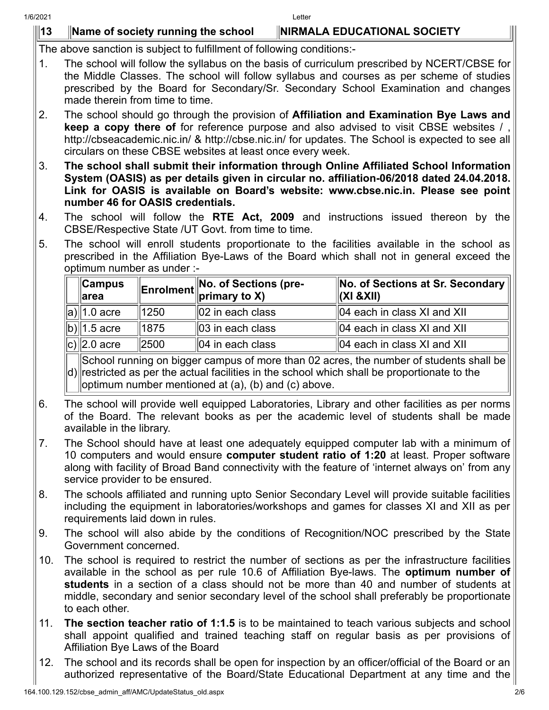## **13 Name of society running the school NIRMALA EDUCATIONAL SOCIETY**

The above sanction is subject to fulfillment of following conditions:-

- 1. The school will follow the syllabus on the basis of curriculum prescribed by NCERT/CBSE for the Middle Classes. The school will follow syllabus and courses as per scheme of studies prescribed by the Board for Secondary/Sr. Secondary School Examination and changes made therein from time to time.
- 2. The school should go through the provision of **Affiliation and Examination Bye Laws and keep a copy there of** for reference purpose and also advised to visit CBSE websites /, http://cbseacademic.nic.in/ & http://cbse.nic.in/ for updates. The School is expected to see all circulars on these CBSE websites at least once every week.
- 3. **The school shall submit their information through Online Affiliated School Information System (OASIS) as per details given in circular no. affiliation-06/2018 dated 24.04.2018. Link for OASIS is available on Board's website: www.cbse.nic.in. Please see point number 46 for OASIS credentials.**
- 4. The school will follow the **RTE Act, 2009** and instructions issued thereon by the CBSE/Respective State /UT Govt. from time to time.
- 5. The school will enroll students proportionate to the facilities available in the school as prescribed in the Affiliation Bye-Laws of the Board which shall not in general exceed the optimum number as under :-

| ∥Campus<br>⊪area |      | <b>Enrolment</b> No. of Sections (pre- | $\ $ No. of Sections at Sr. Secondary $\ $<br>$\ $ (XI &XII) |
|------------------|------|----------------------------------------|--------------------------------------------------------------|
| $ a \ $ 1.0 acre | 1250 | $\parallel$ 02 in each class           | $\parallel$ 04 each in class XI and XII                      |
| $ b \ 1.5$ acre  | 1875 | $\parallel$ 03 in each class           | $\parallel$ 04 each in class XI and XII                      |
| $ c \ 2.0$ acre  | 2500 | $\parallel$ 04 in each class           | $\parallel$ 04 each in class XI and XII                      |

d) restricted as per the actual facilities in the school which shall be proportionate to the School running on bigger campus of more than 02 acres, the number of students shall be optimum number mentioned at (a), (b) and (c) above.

- 6. The school will provide well equipped Laboratories, Library and other facilities as per norms of the Board. The relevant books as per the academic level of students shall be made available in the library.
- 7. The School should have at least one adequately equipped computer lab with a minimum of 10 computers and would ensure **computer student ratio of 1:20** at least. Proper software along with facility of Broad Band connectivity with the feature of 'internet always on' from any service provider to be ensured.
- 8. The schools affiliated and running upto Senior Secondary Level will provide suitable facilities including the equipment in laboratories/workshops and games for classes XI and XII as per requirements laid down in rules.
- 9. The school will also abide by the conditions of Recognition/NOC prescribed by the State Government concerned.
- 10. The school is required to restrict the number of sections as per the infrastructure facilities available in the school as per rule 10.6 of Affiliation Bye-laws. The **optimum number of students** in a section of a class should not be more than 40 and number of students at middle, secondary and senior secondary level of the school shall preferably be proportionate to each other.
- 11. **The section teacher ratio of 1:1.5** is to be maintained to teach various subjects and school shall appoint qualified and trained teaching staff on regular basis as per provisions of Affiliation Bye Laws of the Board
- 12. The school and its records shall be open for inspection by an officer/official of the Board or an authorized representative of the Board/State Educational Department at any time and the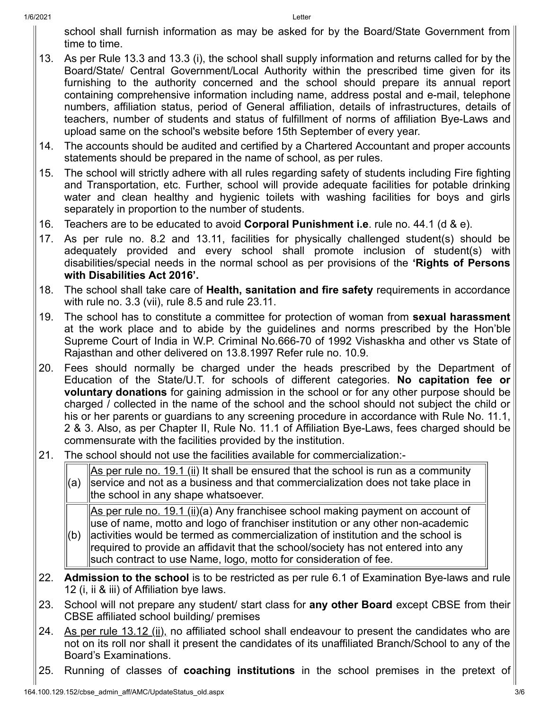school shall furnish information as may be asked for by the Board/State Government from time to time.

- 13. As per Rule 13.3 and 13.3 (i), the school shall supply information and returns called for by the Board/State/ Central Government/Local Authority within the prescribed time given for its furnishing to the authority concerned and the school should prepare its annual report containing comprehensive information including name, address postal and e-mail, telephone numbers, affiliation status, period of General affiliation, details of infrastructures, details of teachers, number of students and status of fulfillment of norms of affiliation Bye-Laws and upload same on the school's website before 15th September of every year.
- 14. The accounts should be audited and certified by a Chartered Accountant and proper accounts statements should be prepared in the name of school, as per rules.
- 15. The school will strictly adhere with all rules regarding safety of students including Fire fighting and Transportation, etc. Further, school will provide adequate facilities for potable drinking water and clean healthy and hygienic toilets with washing facilities for boys and girls separately in proportion to the number of students.
- 16. Teachers are to be educated to avoid **Corporal Punishment i.e**. rule no. 44.1 (d & e).
- 17. As per rule no. 8.2 and 13.11, facilities for physically challenged student(s) should be adequately provided and every school shall promote inclusion of student(s) with disabilities/special needs in the normal school as per provisions of the **'Rights of Persons with Disabilities Act 2016'.**
- 18. The school shall take care of **Health, sanitation and fire safety** requirements in accordance with rule no. 3.3 (vii), rule 8.5 and rule 23.11.
- 19. The school has to constitute a committee for protection of woman from **sexual harassment** at the work place and to abide by the guidelines and norms prescribed by the Hon'ble Supreme Court of India in W.P. Criminal No.666-70 of 1992 Vishaskha and other vs State of Rajasthan and other delivered on 13.8.1997 Refer rule no. 10.9.
- 20. Fees should normally be charged under the heads prescribed by the Department of Education of the State/U.T. for schools of different categories. **No capitation fee or voluntary donations** for gaining admission in the school or for any other purpose should be charged / collected in the name of the school and the school should not subject the child or his or her parents or guardians to any screening procedure in accordance with Rule No. 11.1, 2 & 3. Also, as per Chapter II, Rule No. 11.1 of Affiliation Bye-Laws, fees charged should be commensurate with the facilities provided by the institution.
- 21. The school should not use the facilities available for commercialization:-
	- (a) As per rule no. 19.1 (ii) It shall be ensured that the school is run as a community service and not as a business and that commercialization does not take place in the school in any shape whatsoever.

As per rule no. 19.1 (ii)(a) Any franchisee school making payment on account of use of name, motto and logo of franchiser institution or any other non-academic

- (b) activities would be termed as commercialization of institution and the school is required to provide an affidavit that the school/society has not entered into any such contract to use Name, logo, motto for consideration of fee.
- 22. **Admission to the school** is to be restricted as per rule 6.1 of Examination Bye-laws and rule 12 (i, ii & iii) of Affiliation bye laws.
- 23. School will not prepare any student/ start class for **any other Board** except CBSE from their CBSE affiliated school building/ premises
- 24. As per rule  $13.12$  (ii), no affiliated school shall endeavour to present the candidates who are not on its roll nor shall it present the candidates of its unaffiliated Branch/School to any of the Board's Examinations.
- 25. Running of classes of **coaching institutions** in the school premises in the pretext of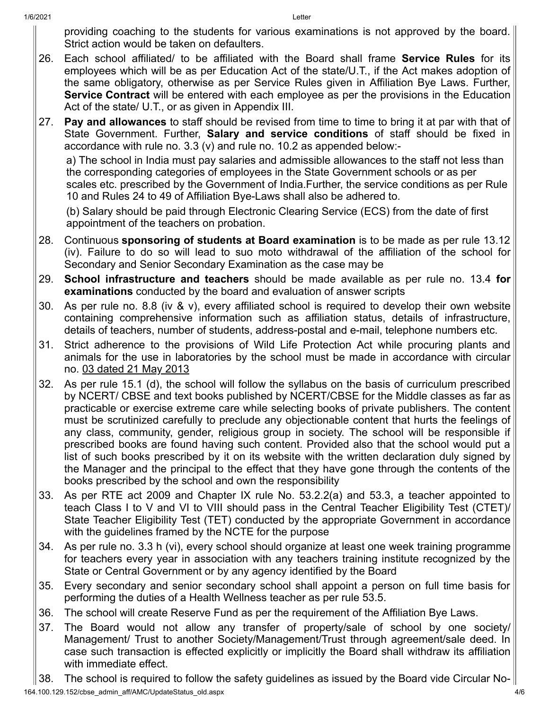providing coaching to the students for various examinations is not approved by the board. Strict action would be taken on defaulters.

- 26. Each school affiliated/ to be affiliated with the Board shall frame **Service Rules** for its employees which will be as per Education Act of the state/U.T., if the Act makes adoption of the same obligatory, otherwise as per Service Rules given in Affiliation Bye Laws. Further, **Service Contract** will be entered with each employee as per the provisions in the Education Act of the state/ U.T., or as given in Appendix III.
- 27. **Pay and allowances** to staff should be revised from time to time to bring it at par with that of State Government. Further, **Salary and service conditions** of staff should be fixed in accordance with rule no. 3.3 (v) and rule no. 10.2 as appended below:-

a) The school in India must pay salaries and admissible allowances to the staff not less than the corresponding categories of employees in the State Government schools or as per scales etc. prescribed by the Government of India.Further, the service conditions as per Rule 10 and Rules 24 to 49 of Affiliation Bye-Laws shall also be adhered to.

(b) Salary should be paid through Electronic Clearing Service (ECS) from the date of first appointment of the teachers on probation.

- 28. Continuous **sponsoring of students at Board examination** is to be made as per rule 13.12 (iv). Failure to do so will lead to suo moto withdrawal of the affiliation of the school for Secondary and Senior Secondary Examination as the case may be
- 29. **School infrastructure and teachers** should be made available as per rule no. 13.4 **for examinations** conducted by the board and evaluation of answer scripts
- 30. As per rule no. 8.8 (iv & v), every affiliated school is required to develop their own website containing comprehensive information such as affiliation status, details of infrastructure, details of teachers, number of students, address-postal and e-mail, telephone numbers etc.
- 31. Strict adherence to the provisions of Wild Life Protection Act while procuring plants and animals for the use in laboratories by the school must be made in accordance with circular no. 03 dated 21 May 2013
- 32. As per rule 15.1 (d), the school will follow the syllabus on the basis of curriculum prescribed by NCERT/ CBSE and text books published by NCERT/CBSE for the Middle classes as far as practicable or exercise extreme care while selecting books of private publishers. The content must be scrutinized carefully to preclude any objectionable content that hurts the feelings of any class, community, gender, religious group in society. The school will be responsible if prescribed books are found having such content. Provided also that the school would put a list of such books prescribed by it on its website with the written declaration duly signed by the Manager and the principal to the effect that they have gone through the contents of the books prescribed by the school and own the responsibility
- 33. As per RTE act 2009 and Chapter IX rule No. 53.2.2(a) and 53.3, a teacher appointed to teach Class I to V and VI to VIII should pass in the Central Teacher Eligibility Test (CTET)/ State Teacher Eligibility Test (TET) conducted by the appropriate Government in accordance with the guidelines framed by the NCTE for the purpose
- 34. As per rule no. 3.3 h (vi), every school should organize at least one week training programme for teachers every year in association with any teachers training institute recognized by the State or Central Government or by any agency identified by the Board
- 35. Every secondary and senior secondary school shall appoint a person on full time basis for performing the duties of a Health Wellness teacher as per rule 53.5.
- 36. The school will create Reserve Fund as per the requirement of the Affiliation Bye Laws.
- 37. The Board would not allow any transfer of property/sale of school by one society/ Management/ Trust to another Society/Management/Trust through agreement/sale deed. In case such transaction is effected explicitly or implicitly the Board shall withdraw its affiliation with immediate effect.
- 38. The school is required to follow the safety guidelines as issued by the Board vide Circular No-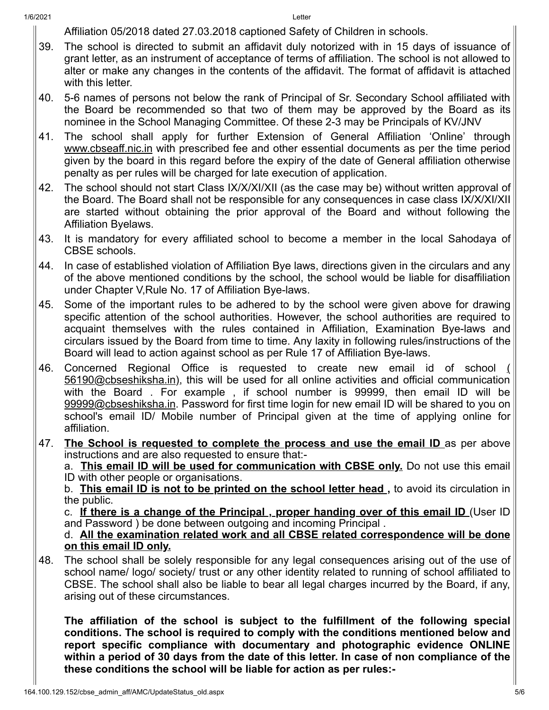Affiliation 05/2018 dated 27.03.2018 captioned Safety of Children in schools.

- 39. The school is directed to submit an affidavit duly notorized with in 15 days of issuance of grant letter, as an instrument of acceptance of terms of affiliation. The school is not allowed to alter or make any changes in the contents of the affidavit. The format of affidavit is attached with this letter.
- 40. 5-6 names of persons not below the rank of Principal of Sr. Secondary School affiliated with the Board be recommended so that two of them may be approved by the Board as its nominee in the School Managing Committee. Of these 2-3 may be Principals of KV/JNV
- 41. The school shall apply for further Extension of General Affiliation 'Online' through www.cbseaff.nic.in with prescribed fee and other essential documents as per the time period given by the board in this regard before the expiry of the date of General affiliation otherwise penalty as per rules will be charged for late execution of application.
- 42. The school should not start Class IX/X/XI/XII (as the case may be) without written approval of the Board. The Board shall not be responsible for any consequences in case class IX/X/XI/XII are started without obtaining the prior approval of the Board and without following the Affiliation Byelaws.
- 43. It is mandatory for every affiliated school to become a member in the local Sahodaya of CBSE schools.
- 44. In case of established violation of Affiliation Bye laws, directions given in the circulars and any of the above mentioned conditions by the school, the school would be liable for disaffiliation under Chapter V,Rule No. 17 of Affiliation Bye-laws.
- 45. Some of the important rules to be adhered to by the school were given above for drawing specific attention of the school authorities. However, the school authorities are required to acquaint themselves with the rules contained in Affiliation, Examination Bye-laws and circulars issued by the Board from time to time. Any laxity in following rules/instructions of the Board will lead to action against school as per Rule 17 of Affiliation Bye-laws.
- 46. Concerned Regional Office is requested to create new email id of school ( 56190@cbseshiksha.in), this will be used for all online activities and official communication with the Board . For example , if school number is 99999, then email ID will be 99999@cbseshiksha.in. Password for first time login for new email ID will be shared to you on school's email ID/ Mobile number of Principal given at the time of applying online for affiliation.
- 47. **The School is requested to complete the process and use the email ID** as per above instructions and are also requested to ensure that:-

a. **This email ID will be used for communication with CBSE only.** Do not use this email ID with other people or organisations.

b. **This email ID is not to be printed on the school letter head ,** to avoid its circulation in the public.

c. **If there is a change of the Principal , proper handing over of this email ID** (User ID and Password ) be done between outgoing and incoming Principal .

d. **All the examination related work and all CBSE related correspondence will be done on this email ID only.**

48. The school shall be solely responsible for any legal consequences arising out of the use of school name/ logo/ society/ trust or any other identity related to running of school affiliated to CBSE. The school shall also be liable to bear all legal charges incurred by the Board, if any, arising out of these circumstances.

**The affiliation of the school is subject to the fulfillment of the following special conditions. The school is required to comply with the conditions mentioned below and report specific compliance with documentary and photographic evidence ONLINE within a period of 30 days from the date of this letter. In case of non compliance of the these conditions the school will be liable for action as per rules:-**